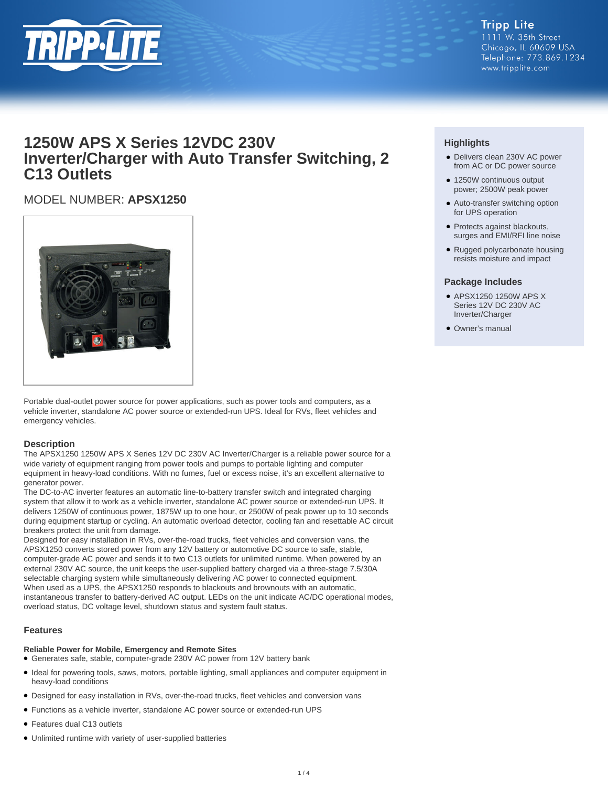

## **1250W APS X Series 12VDC 230V Inverter/Charger with Auto Transfer Switching, 2 C13 Outlets**

## MODEL NUMBER: **APSX1250**



Portable dual-outlet power source for power applications, such as power tools and computers, as a vehicle inverter, standalone AC power source or extended-run UPS. Ideal for RVs, fleet vehicles and emergency vehicles.

## **Description**

The APSX1250 1250W APS X Series 12V DC 230V AC Inverter/Charger is a reliable power source for a wide variety of equipment ranging from power tools and pumps to portable lighting and computer equipment in heavy-load conditions. With no fumes, fuel or excess noise, it's an excellent alternative to generator power.

The DC-to-AC inverter features an automatic line-to-battery transfer switch and integrated charging system that allow it to work as a vehicle inverter, standalone AC power source or extended-run UPS. It delivers 1250W of continuous power, 1875W up to one hour, or 2500W of peak power up to 10 seconds during equipment startup or cycling. An automatic overload detector, cooling fan and resettable AC circuit breakers protect the unit from damage.

Designed for easy installation in RVs, over-the-road trucks, fleet vehicles and conversion vans, the APSX1250 converts stored power from any 12V battery or automotive DC source to safe, stable, computer-grade AC power and sends it to two C13 outlets for unlimited runtime. When powered by an external 230V AC source, the unit keeps the user-supplied battery charged via a three-stage 7.5/30A selectable charging system while simultaneously delivering AC power to connected equipment. When used as a UPS, the APSX1250 responds to blackouts and brownouts with an automatic, instantaneous transfer to battery-derived AC output. LEDs on the unit indicate AC/DC operational modes, overload status, DC voltage level, shutdown status and system fault status.

## **Features**

## **Reliable Power for Mobile, Emergency and Remote Sites**

- Generates safe, stable, computer-grade 230V AC power from 12V battery bank
- Ideal for powering tools, saws, motors, portable lighting, small appliances and computer equipment in heavy-load conditions
- Designed for easy installation in RVs, over-the-road trucks, fleet vehicles and conversion vans
- Functions as a vehicle inverter, standalone AC power source or extended-run UPS
- Features dual C13 outlets
- Unlimited runtime with variety of user-supplied batteries

## **Highlights**

- Delivers clean 230V AC power from AC or DC power source
- 1250W continuous output power; 2500W peak power
- Auto-transfer switching option for UPS operation
- Protects against blackouts, surges and EMI/RFI line noise
- Rugged polycarbonate housing resists moisture and impact

## **Package Includes**

- APSX1250 1250W APS X Series 12V DC 230V AC Inverter/Charger
- Owner's manual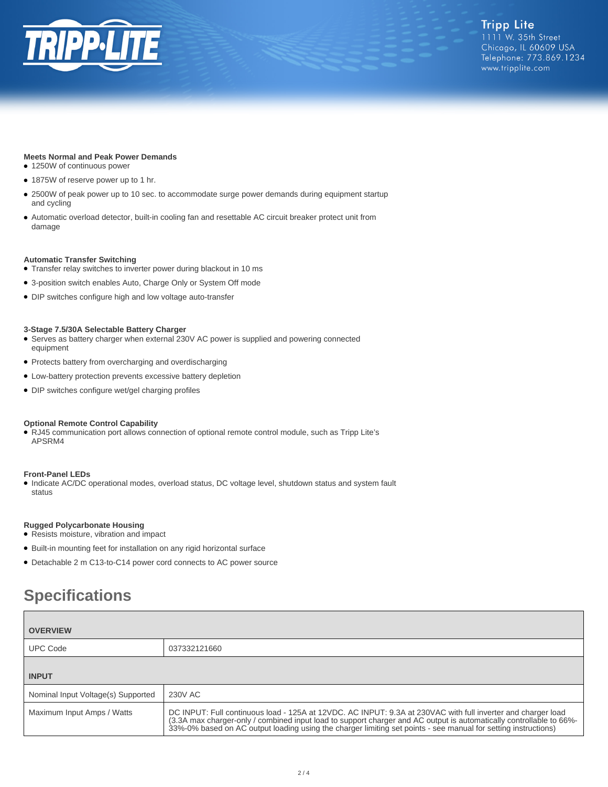

## **Meets Normal and Peak Power Demands**

- 1250W of continuous power
- 1875W of reserve power up to 1 hr.
- 2500W of peak power up to 10 sec. to accommodate surge power demands during equipment startup and cycling
- Automatic overload detector, built-in cooling fan and resettable AC circuit breaker protect unit from damage

#### **Automatic Transfer Switching**

- Transfer relay switches to inverter power during blackout in 10 ms
- 3-position switch enables Auto, Charge Only or System Off mode
- DIP switches configure high and low voltage auto-transfer

#### **3-Stage 7.5/30A Selectable Battery Charger**

- Serves as battery charger when external 230V AC power is supplied and powering connected equipment
- Protects battery from overcharging and overdischarging
- Low-battery protection prevents excessive battery depletion
- DIP switches configure wet/gel charging profiles

#### **Optional Remote Control Capability**

● RJ45 communication port allows connection of optional remote control module, such as Tripp Lite's APSRM4

#### **Front-Panel LEDs**

● Indicate AC/DC operational modes, overload status, DC voltage level, shutdown status and system fault status

#### **Rugged Polycarbonate Housing**

- Resists moisture, vibration and impact
- Built-in mounting feet for installation on any rigid horizontal surface
- Detachable 2 m C13-to-C14 power cord connects to AC power source

# **Specifications**

| <b>OVERVIEW</b>                    |                                                                                                                                                                                                                                                                                                                                                   |
|------------------------------------|---------------------------------------------------------------------------------------------------------------------------------------------------------------------------------------------------------------------------------------------------------------------------------------------------------------------------------------------------|
| <b>UPC Code</b>                    | 037332121660                                                                                                                                                                                                                                                                                                                                      |
| <b>INPUT</b>                       |                                                                                                                                                                                                                                                                                                                                                   |
| Nominal Input Voltage(s) Supported | 230V AC                                                                                                                                                                                                                                                                                                                                           |
| Maximum Input Amps / Watts         | DC INPUT: Full continuous load - 125A at 12VDC. AC INPUT: 9.3A at 230VAC with full inverter and charger load<br>(3.3A max charger-only / combined input load to support charger and AC output is automatically controllable to 66%-<br>33%-0% based on AC output loading using the charger limiting set points - see manual for setting instructi |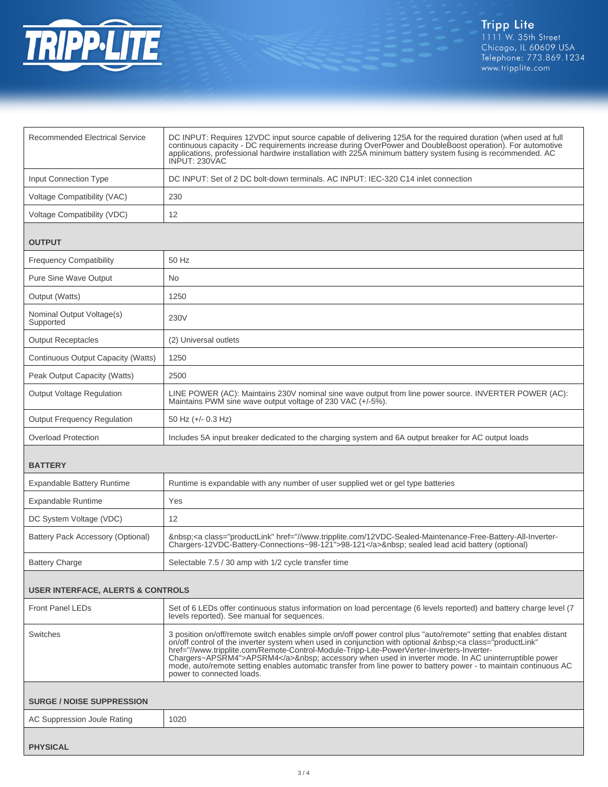

| <b>Recommended Electrical Service</b>        | DC INPUT: Requires 12VDC input source capable of delivering 125A for the required duration (when used at full<br>continuous capacity - DC requirements increase during OverPower and DoubleBoost operation). For automotive<br>applications, professional hardwire installation with 225A minimum battery system fusing is recommended. AC<br>INPUT: 230VAC                                                                                                                                                                                                                            |  |
|----------------------------------------------|----------------------------------------------------------------------------------------------------------------------------------------------------------------------------------------------------------------------------------------------------------------------------------------------------------------------------------------------------------------------------------------------------------------------------------------------------------------------------------------------------------------------------------------------------------------------------------------|--|
| <b>Input Connection Type</b>                 | DC INPUT: Set of 2 DC bolt-down terminals. AC INPUT: IEC-320 C14 inlet connection                                                                                                                                                                                                                                                                                                                                                                                                                                                                                                      |  |
| Voltage Compatibility (VAC)                  | 230                                                                                                                                                                                                                                                                                                                                                                                                                                                                                                                                                                                    |  |
| Voltage Compatibility (VDC)                  | 12                                                                                                                                                                                                                                                                                                                                                                                                                                                                                                                                                                                     |  |
| <b>OUTPUT</b>                                |                                                                                                                                                                                                                                                                                                                                                                                                                                                                                                                                                                                        |  |
| <b>Frequency Compatibility</b>               | 50 Hz                                                                                                                                                                                                                                                                                                                                                                                                                                                                                                                                                                                  |  |
| <b>Pure Sine Wave Output</b>                 | No.                                                                                                                                                                                                                                                                                                                                                                                                                                                                                                                                                                                    |  |
| Output (Watts)                               | 1250                                                                                                                                                                                                                                                                                                                                                                                                                                                                                                                                                                                   |  |
| Nominal Output Voltage(s)<br>Supported       | 230V                                                                                                                                                                                                                                                                                                                                                                                                                                                                                                                                                                                   |  |
| <b>Output Receptacles</b>                    | (2) Universal outlets                                                                                                                                                                                                                                                                                                                                                                                                                                                                                                                                                                  |  |
| Continuous Output Capacity (Watts)           | 1250                                                                                                                                                                                                                                                                                                                                                                                                                                                                                                                                                                                   |  |
| Peak Output Capacity (Watts)                 | 2500                                                                                                                                                                                                                                                                                                                                                                                                                                                                                                                                                                                   |  |
| <b>Output Voltage Regulation</b>             | LINE POWER (AC): Maintains 230V nominal sine wave output from line power source. INVERTER POWER (AC):<br>Maintains PWM sine wave output voltage of 230 VAC (+/-5%).                                                                                                                                                                                                                                                                                                                                                                                                                    |  |
| <b>Output Frequency Regulation</b>           | 50 Hz (+/- 0.3 Hz)                                                                                                                                                                                                                                                                                                                                                                                                                                                                                                                                                                     |  |
| <b>Overload Protection</b>                   | Includes 5A input breaker dedicated to the charging system and 6A output breaker for AC output loads                                                                                                                                                                                                                                                                                                                                                                                                                                                                                   |  |
| <b>BATTERY</b>                               |                                                                                                                                                                                                                                                                                                                                                                                                                                                                                                                                                                                        |  |
| <b>Expandable Battery Runtime</b>            | Runtime is expandable with any number of user supplied wet or gel type batteries                                                                                                                                                                                                                                                                                                                                                                                                                                                                                                       |  |
| <b>Expandable Runtime</b>                    | Yes                                                                                                                                                                                                                                                                                                                                                                                                                                                                                                                                                                                    |  |
| DC System Voltage (VDC)                      | 12                                                                                                                                                                                                                                                                                                                                                                                                                                                                                                                                                                                     |  |
| <b>Battery Pack Accessory (Optional)</b>     | <a class="productLink" href="//www.tripplite.com/12VDC-Sealed-Maintenance-Free-Battery-All-Inverter-&lt;br&gt;Chargers-12VDC-Battery-Connections~98-121">98-121</a> sealed lead acid battery (optional)                                                                                                                                                                                                                                                                                                                                                                                |  |
| <b>Battery Charge</b>                        | Selectable 7.5 / 30 amp with 1/2 cycle transfer time                                                                                                                                                                                                                                                                                                                                                                                                                                                                                                                                   |  |
| <b>USER INTERFACE, ALERTS &amp; CONTROLS</b> |                                                                                                                                                                                                                                                                                                                                                                                                                                                                                                                                                                                        |  |
| <b>Front Panel LEDs</b>                      | Set of 6 LEDs offer continuous status information on load percentage (6 levels reported) and battery charge level (7<br>levels reported). See manual for sequences.                                                                                                                                                                                                                                                                                                                                                                                                                    |  |
| Switches                                     | 3 position on/off/remote switch enables simple on/off power control plus "auto/remote" setting that enables distant<br>on/off control of the inverter system when used in conjunction with optional  : <a <br="" class="productLink">href="//www.tripplite.com/Remote-Control-Module-Tripp-Lite-PowerVerter-Inverters-Inverter-<br/>Chargers~APSRM4"&gt;APSRM4</a> accessory when used in inverter mode. In AC uninterruptible power<br>mode, auto/remote setting enables automatic transfer from line power to battery power - to maintain continuous AC<br>power to connected loads. |  |
| <b>SURGE / NOISE SUPPRESSION</b>             |                                                                                                                                                                                                                                                                                                                                                                                                                                                                                                                                                                                        |  |
| AC Suppression Joule Rating                  | 1020                                                                                                                                                                                                                                                                                                                                                                                                                                                                                                                                                                                   |  |
| <b>PHYSICAL</b>                              |                                                                                                                                                                                                                                                                                                                                                                                                                                                                                                                                                                                        |  |